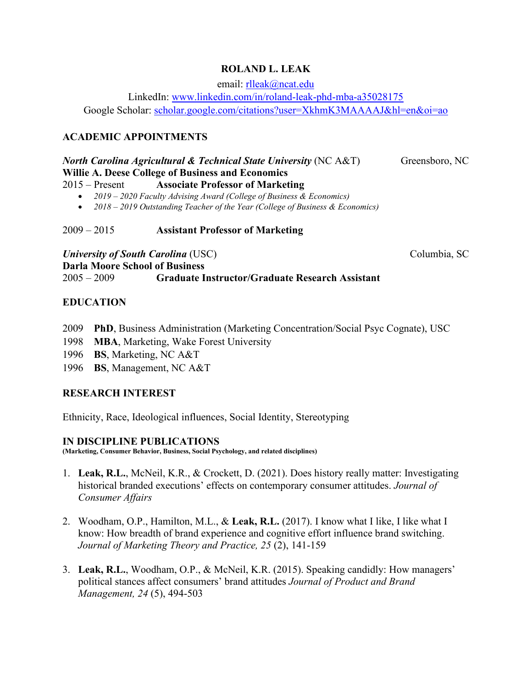## **ROLAND L. LEAK**

email: [rlleak@ncat.edu](mailto:rlleak@ncat.edu)

LinkedIn: [www.linkedin.com/in/roland-leak-phd-mba-a35028175](http://www.linkedin.com/in/roland-leak-phd-mba-a35028175)

Google Scholar: [scholar.google.com/citations?user=XkhmK3MAAAAJ&hl=en&oi=ao](https://scholar.google.com/citations?user=XkhmK3MAAAAJ&hl=en&oi=ao)

# **ACADEMIC APPOINTMENTS**

### *North Carolina Agricultural & Technical State University* (NC A&T) Greensboro, NC **Willie A. Deese College of Business and Economics**

- 2015 Present **Associate Professor of Marketing**
	- *2019 2020 Faculty Advising Award (College of Business & Economics)*
	- *2018 2019 Outstanding Teacher of the Year (College of Business & Economics)*

2009 – 2015 **Assistant Professor of Marketing**

*University of South Carolina* (USC) Columbia, SC **Darla Moore School of Business**  2005 – 2009 **Graduate Instructor/Graduate Research Assistant** 

## **EDUCATION**

- 2009 **PhD**, Business Administration (Marketing Concentration/Social Psyc Cognate), USC
- 1998 **MBA**, Marketing, Wake Forest University
- 1996 **BS**, Marketing, NC A&T
- 1996 **BS**, Management, NC A&T

## **RESEARCH INTEREST**

Ethnicity, Race, Ideological influences, Social Identity, Stereotyping

### **IN DISCIPLINE PUBLICATIONS**

**(Marketing, Consumer Behavior, Business, Social Psychology, and related disciplines)** 

- 1. **Leak, R.L.**, McNeil, K.R., & Crockett, D. (2021). Does history really matter: Investigating historical branded executions' effects on contemporary consumer attitudes. *Journal of Consumer Affairs*
- 2. Woodham, O.P., Hamilton, M.L., & **Leak, R.L.** (2017). I know what I like, I like what I know: How breadth of brand experience and cognitive effort influence brand switching. *Journal of Marketing Theory and Practice, 25* (2), 141-159
- 3. **Leak, R.L.**, Woodham, O.P., & McNeil, K.R. (2015). Speaking candidly: How managers' political stances affect consumers' brand attitudes *Journal of Product and Brand Management, 24* (5), 494-503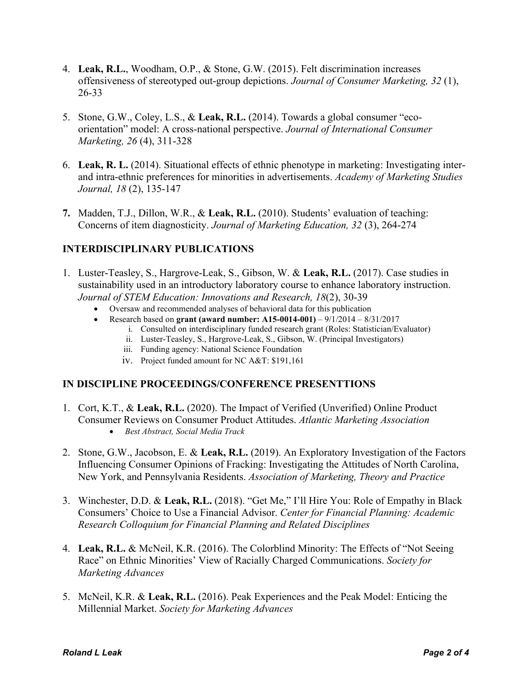- 4. **Leak, R.L.**, Woodham, O.P., & Stone, G.W. (2015). Felt discrimination increases offensiveness of stereotyped out-group depictions. *Journal of Consumer Marketing, 32* (1), 26-33
- 5. Stone, G.W., Coley, L.S., & **Leak, R.L.** (2014). Towards a global consumer "ecoorientation" model: A cross-national perspective. *Journal of International Consumer Marketing, 26* (4), 311-328
- 6. **Leak, R. L.** (2014). Situational effects of ethnic phenotype in marketing: Investigating interand intra-ethnic preferences for minorities in advertisements. *Academy of Marketing Studies Journal, 18* (2), 135-147
- **7.** Madden, T.J., Dillon, W.R., & **Leak, R.L.** (2010). Students' evaluation of teaching: Concerns of item diagnosticity. *Journal of Marketing Education, 32* (3), 264-274

## **INTERDISCIPLINARY PUBLICATIONS**

- 1. Luster-Teasley, S., Hargrove-Leak, S., Gibson, W. & **Leak, R.L.** (2017). Case studies in sustainability used in an introductory laboratory course to enhance laboratory instruction. *Journal of STEM Education: Innovations and Research, 18*(2), 30-39
	- Oversaw and recommended analyses of behavioral data for this publication
	- Research based on **grant (award number: A15-0014-001)** 9/1/2014 8/31/2017
		- i. Consulted on interdisciplinary funded research grant (Roles: Statistician/Evaluator)
		- ii. Luster-Teasley, S., Hargrove-Leak, S., Gibson, W. (Principal Investigators)
		- iii. Funding agency: National Science Foundation
		- iv. Project funded amount for NC A&T: \$191,161

## **IN DISCIPLINE PROCEEDINGS/CONFERENCE PRESENTTIONS**

- 1. Cort, K.T., & **Leak, R.L.** (2020). The Impact of Verified (Unverified) Online Product Consumer Reviews on Consumer Product Attitudes. *Atlantic Marketing Association*
	- *Best Abstract, Social Media Track*
- 2. Stone, G.W., Jacobson, E. & **Leak, R.L.** (2019). An Exploratory Investigation of the Factors Influencing Consumer Opinions of Fracking: Investigating the Attitudes of North Carolina, New York, and Pennsylvania Residents. *Association of Marketing, Theory and Practice*
- 3. Winchester, D.D. & **Leak, R.L.** (2018). "Get Me," I'll Hire You: Role of Empathy in Black Consumers' Choice to Use a Financial Advisor. *Center for Financial Planning: Academic Research Colloquium for Financial Planning and Related Disciplines*
- 4. **Leak, R.L.** & McNeil, K.R. (2016). The Colorblind Minority: The Effects of "Not Seeing Race" on Ethnic Minorities' View of Racially Charged Communications. *Society for Marketing Advances*
- 5. McNeil, K.R. & **Leak, R.L.** (2016). Peak Experiences and the Peak Model: Enticing the Millennial Market. *Society for Marketing Advances*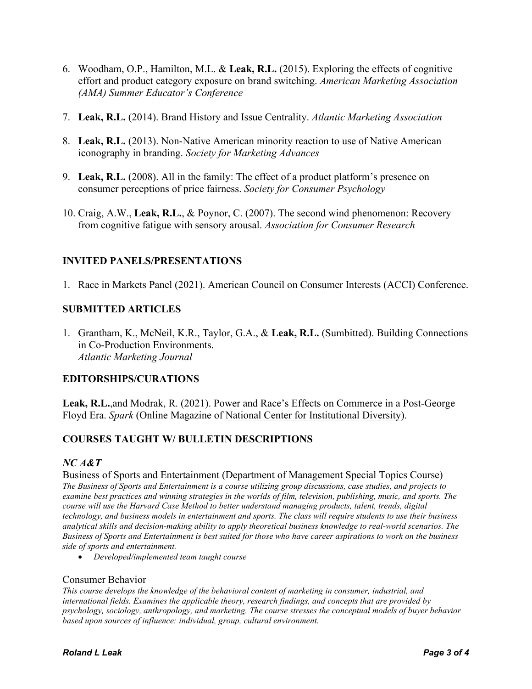- 6. Woodham, O.P., Hamilton, M.L. & **Leak, R.L.** (2015). Exploring the effects of cognitive effort and product category exposure on brand switching. *American Marketing Association (AMA) Summer Educator's Conference*
- 7. **Leak, R.L.** (2014). Brand History and Issue Centrality. *Atlantic Marketing Association*
- 8. **Leak, R.L.** (2013). Non-Native American minority reaction to use of Native American iconography in branding. *Society for Marketing Advances*
- 9. **Leak, R.L.** (2008). All in the family: The effect of a product platform's presence on consumer perceptions of price fairness. *Society for Consumer Psychology*
- 10. Craig, A.W., **Leak, R.L.**, & Poynor, C. (2007). The second wind phenomenon: Recovery from cognitive fatigue with sensory arousal. *Association for Consumer Research*

## **INVITED PANELS/PRESENTATIONS**

1. Race in Markets Panel (2021). American Council on Consumer Interests (ACCI) Conference.

### **SUBMITTED ARTICLES**

1. Grantham, K., McNeil, K.R., Taylor, G.A., & **Leak, R.L.** (Sumbitted). Building Connections in Co-Production Environments. *Atlantic Marketing Journal*

### **EDITORSHIPS/CURATIONS**

**Leak, R.L.**,and Modrak, R. (2021). Power and Race's Effects on Commerce in a Post-George Floyd Era. *Spark* (Online Magazine of [National Center for Institutional Diversity\)](https://lsa.umich.edu/ncid).

### **COURSES TAUGHT W/ BULLETIN DESCRIPTIONS**

#### *NC A&T*

Business of Sports and Entertainment (Department of Management Special Topics Course) *The Business of Sports and Entertainment is a course utilizing group discussions, case studies, and projects to examine best practices and winning strategies in the worlds of film, television, publishing, music, and sports. The course will use the Harvard Case Method to better understand managing products, talent, trends, digital technology, and business models in entertainment and sports. The class will require students to use their business analytical skills and decision-making ability to apply theoretical business knowledge to real-world scenarios. The Business of Sports and Entertainment is best suited for those who have career aspirations to work on the business side of sports and entertainment.*

• *Developed/implemented team taught course*

#### Consumer Behavior

*This course develops the knowledge of the behavioral content of marketing in consumer, industrial, and international fields. Examines the applicable theory, research findings, and concepts that are provided by psychology, sociology, anthropology, and marketing. The course stresses the conceptual models of buyer behavior based upon sources of influence: individual, group, cultural environment.*